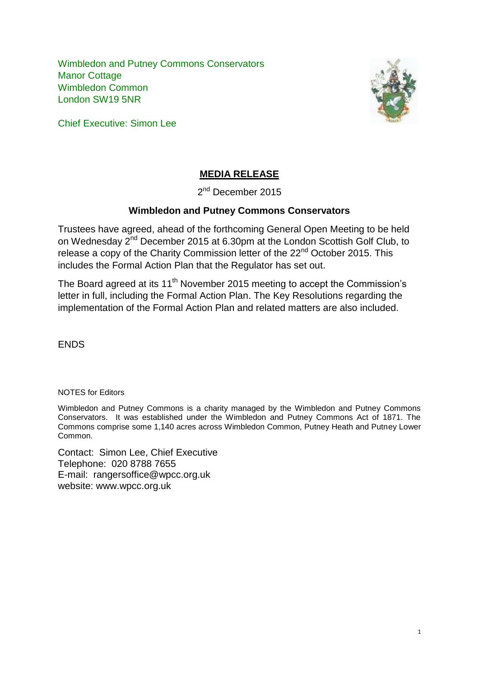Wimbledon and Putney Commons Conservators Manor Cottage Wimbledon Common London SW19 5NR



Chief Executive: Simon Lee

# **MEDIA RELEASE**

2<sup>nd</sup> December 2015

# **Wimbledon and Putney Commons Conservators**

Trustees have agreed, ahead of the forthcoming General Open Meeting to be held on Wednesday 2nd December 2015 at 6.30pm at the London Scottish Golf Club, to release a copy of the Charity Commission letter of the 22<sup>nd</sup> October 2015. This includes the Formal Action Plan that the Regulator has set out.

The Board agreed at its 11<sup>th</sup> November 2015 meeting to accept the Commission's letter in full, including the Formal Action Plan. The Key Resolutions regarding the implementation of the Formal Action Plan and related matters are also included.

ENDS

NOTES for Editors

Wimbledon and Putney Commons is a charity managed by the Wimbledon and Putney Commons Conservators. It was established under the Wimbledon and Putney Commons Act of 1871. The Commons comprise some 1,140 acres across Wimbledon Common, Putney Heath and Putney Lower Common.

Contact: Simon Lee, Chief Executive Telephone: 020 8788 7655 E-mail: rangersoffice@wpcc.org.uk website: www.wpcc.org.uk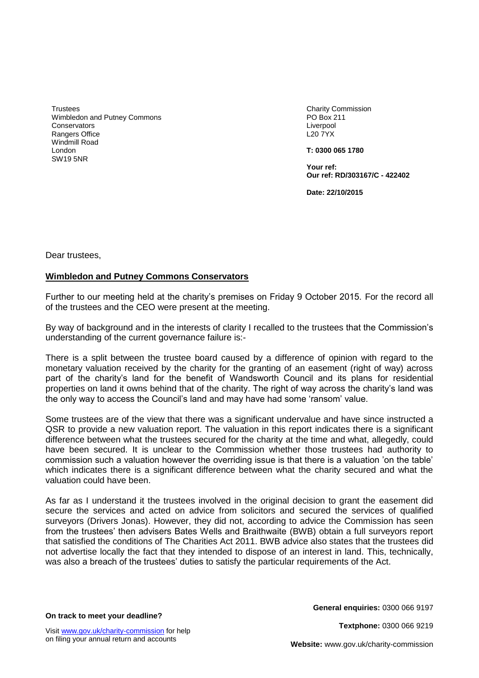**Trustees** Wimbledon and Putney Commons **Conservators** Rangers Office Windmill Road London SW19 5NR

Charity Commission PO Box 211 Liverpool L20 7YX

**T: 0300 065 1780**

**Your ref: Our ref: RD/303167/C - 422402**

**Date: 22/10/2015**

Dear trustees,

#### **Wimbledon and Putney Commons Conservators**

Further to our meeting held at the charity's premises on Friday 9 October 2015. For the record all of the trustees and the CEO were present at the meeting.

By way of background and in the interests of clarity I recalled to the trustees that the Commission's understanding of the current governance failure is:-

There is a split between the trustee board caused by a difference of opinion with regard to the monetary valuation received by the charity for the granting of an easement (right of way) across part of the charity's land for the benefit of Wandsworth Council and its plans for residential properties on land it owns behind that of the charity. The right of way across the charity's land was the only way to access the Council's land and may have had some 'ransom' value.

Some trustees are of the view that there was a significant undervalue and have since instructed a QSR to provide a new valuation report. The valuation in this report indicates there is a significant difference between what the trustees secured for the charity at the time and what, allegedly, could have been secured. It is unclear to the Commission whether those trustees had authority to commission such a valuation however the overriding issue is that there is a valuation 'on the table' which indicates there is a significant difference between what the charity secured and what the valuation could have been.

As far as I understand it the trustees involved in the original decision to grant the easement did secure the services and acted on advice from solicitors and secured the services of qualified surveyors (Drivers Jonas). However, they did not, according to advice the Commission has seen from the trustees' then advisers Bates Wells and Braithwaite (BWB) obtain a full surveyors report that satisfied the conditions of The Charities Act 2011. BWB advice also states that the trustees did not advertise locally the fact that they intended to dispose of an interest in land. This, technically, was also a breach of the trustees' duties to satisfy the particular requirements of the Act.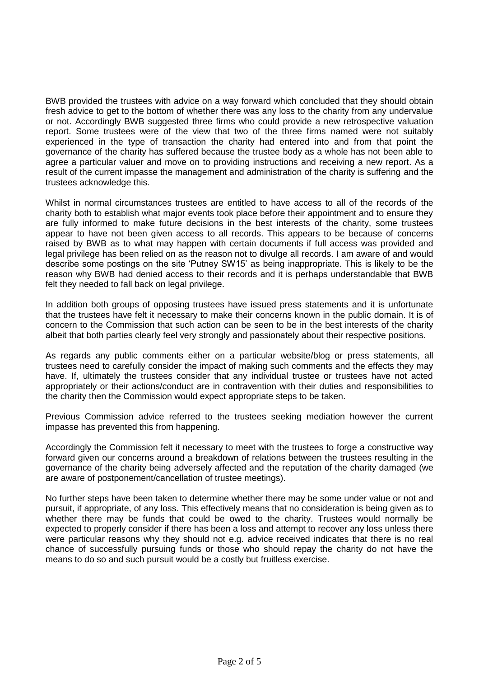BWB provided the trustees with advice on a way forward which concluded that they should obtain fresh advice to get to the bottom of whether there was any loss to the charity from any undervalue or not. Accordingly BWB suggested three firms who could provide a new retrospective valuation report. Some trustees were of the view that two of the three firms named were not suitably experienced in the type of transaction the charity had entered into and from that point the governance of the charity has suffered because the trustee body as a whole has not been able to agree a particular valuer and move on to providing instructions and receiving a new report. As a result of the current impasse the management and administration of the charity is suffering and the trustees acknowledge this.

Whilst in normal circumstances trustees are entitled to have access to all of the records of the charity both to establish what major events took place before their appointment and to ensure they are fully informed to make future decisions in the best interests of the charity, some trustees appear to have not been given access to all records. This appears to be because of concerns raised by BWB as to what may happen with certain documents if full access was provided and legal privilege has been relied on as the reason not to divulge all records. I am aware of and would describe some postings on the site 'Putney SW15' as being inappropriate. This is likely to be the reason why BWB had denied access to their records and it is perhaps understandable that BWB felt they needed to fall back on legal privilege.

In addition both groups of opposing trustees have issued press statements and it is unfortunate that the trustees have felt it necessary to make their concerns known in the public domain. It is of concern to the Commission that such action can be seen to be in the best interests of the charity albeit that both parties clearly feel very strongly and passionately about their respective positions.

As regards any public comments either on a particular website/blog or press statements, all trustees need to carefully consider the impact of making such comments and the effects they may have. If, ultimately the trustees consider that any individual trustee or trustees have not acted appropriately or their actions/conduct are in contravention with their duties and responsibilities to the charity then the Commission would expect appropriate steps to be taken.

Previous Commission advice referred to the trustees seeking mediation however the current impasse has prevented this from happening.

Accordingly the Commission felt it necessary to meet with the trustees to forge a constructive way forward given our concerns around a breakdown of relations between the trustees resulting in the governance of the charity being adversely affected and the reputation of the charity damaged (we are aware of postponement/cancellation of trustee meetings).

No further steps have been taken to determine whether there may be some under value or not and pursuit, if appropriate, of any loss. This effectively means that no consideration is being given as to whether there may be funds that could be owed to the charity. Trustees would normally be expected to properly consider if there has been a loss and attempt to recover any loss unless there were particular reasons why they should not e.g. advice received indicates that there is no real chance of successfully pursuing funds or those who should repay the charity do not have the means to do so and such pursuit would be a costly but fruitless exercise.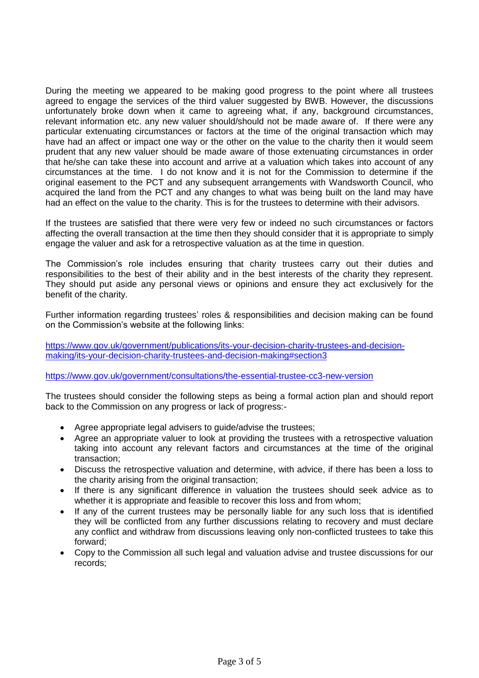During the meeting we appeared to be making good progress to the point where all trustees agreed to engage the services of the third valuer suggested by BWB. However, the discussions unfortunately broke down when it came to agreeing what, if any, background circumstances, relevant information etc. any new valuer should/should not be made aware of. If there were any particular extenuating circumstances or factors at the time of the original transaction which may have had an affect or impact one way or the other on the value to the charity then it would seem prudent that any new valuer should be made aware of those extenuating circumstances in order that he/she can take these into account and arrive at a valuation which takes into account of any circumstances at the time. I do not know and it is not for the Commission to determine if the original easement to the PCT and any subsequent arrangements with Wandsworth Council, who acquired the land from the PCT and any changes to what was being built on the land may have had an effect on the value to the charity. This is for the trustees to determine with their advisors.

If the trustees are satisfied that there were very few or indeed no such circumstances or factors affecting the overall transaction at the time then they should consider that it is appropriate to simply engage the valuer and ask for a retrospective valuation as at the time in question.

The Commission's role includes ensuring that charity trustees carry out their duties and responsibilities to the best of their ability and in the best interests of the charity they represent. They should put aside any personal views or opinions and ensure they act exclusively for the benefit of the charity.

Further information regarding trustees' roles & responsibilities and decision making can be found on the Commission's website at the following links:

[https://www.gov.uk/government/publications/its-your-decision-charity-trustees-and-decision](https://www.gov.uk/government/publications/its-your-decision-charity-trustees-and-decision-making/its-your-decision-charity-trustees-and-decision-making#section3)[making/its-your-decision-charity-trustees-and-decision-making#section3](https://www.gov.uk/government/publications/its-your-decision-charity-trustees-and-decision-making/its-your-decision-charity-trustees-and-decision-making#section3)

<https://www.gov.uk/government/consultations/the-essential-trustee-cc3-new-version>

The trustees should consider the following steps as being a formal action plan and should report back to the Commission on any progress or lack of progress:-

- Agree appropriate legal advisers to guide/advise the trustees;
- Agree an appropriate valuer to look at providing the trustees with a retrospective valuation taking into account any relevant factors and circumstances at the time of the original transaction;
- Discuss the retrospective valuation and determine, with advice, if there has been a loss to the charity arising from the original transaction;
- If there is any significant difference in valuation the trustees should seek advice as to whether it is appropriate and feasible to recover this loss and from whom:
- If any of the current trustees may be personally liable for any such loss that is identified they will be conflicted from any further discussions relating to recovery and must declare any conflict and withdraw from discussions leaving only non-conflicted trustees to take this forward;
- Copy to the Commission all such legal and valuation advise and trustee discussions for our records;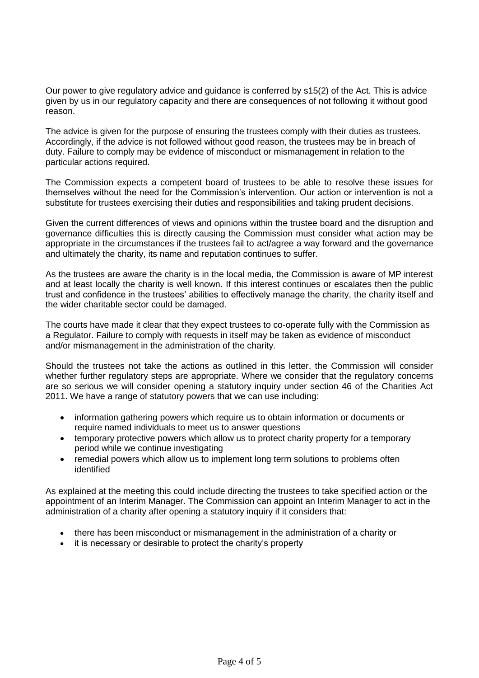Our power to give regulatory advice and guidance is conferred by s15(2) of the Act. This is advice given by us in our regulatory capacity and there are consequences of not following it without good reason.

The advice is given for the purpose of ensuring the trustees comply with their duties as trustees. Accordingly, if the advice is not followed without good reason, the trustees may be in breach of duty. Failure to comply may be evidence of misconduct or mismanagement in relation to the particular actions required.

The Commission expects a competent board of trustees to be able to resolve these issues for themselves without the need for the Commission's intervention. Our action or intervention is not a substitute for trustees exercising their duties and responsibilities and taking prudent decisions.

Given the current differences of views and opinions within the trustee board and the disruption and governance difficulties this is directly causing the Commission must consider what action may be appropriate in the circumstances if the trustees fail to act/agree a way forward and the governance and ultimately the charity, its name and reputation continues to suffer.

As the trustees are aware the charity is in the local media, the Commission is aware of MP interest and at least locally the charity is well known. If this interest continues or escalates then the public trust and confidence in the trustees' abilities to effectively manage the charity, the charity itself and the wider charitable sector could be damaged.

The courts have made it clear that they expect trustees to co-operate fully with the Commission as a Regulator. Failure to comply with requests in itself may be taken as evidence of misconduct and/or mismanagement in the administration of the charity.

Should the trustees not take the actions as outlined in this letter, the Commission will consider whether further regulatory steps are appropriate. Where we consider that the regulatory concerns are so serious we will consider opening a statutory inquiry under section 46 of the Charities Act 2011. We have a range of statutory powers that we can use including:

- information gathering powers which require us to obtain information or documents or require named individuals to meet us to answer questions
- temporary protective powers which allow us to protect charity property for a temporary period while we continue investigating
- remedial powers which allow us to implement long term solutions to problems often identified

As explained at the meeting this could include directing the trustees to take specified action or the appointment of an Interim Manager. The Commission can appoint an Interim Manager to act in the administration of a charity after opening a statutory inquiry if it considers that:

- there has been misconduct or mismanagement in the administration of a charity or
- it is necessary or desirable to protect the charity's property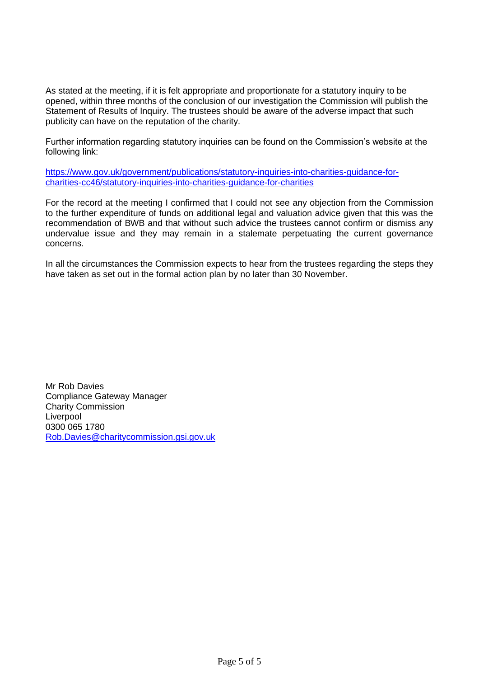As stated at the meeting, if it is felt appropriate and proportionate for a statutory inquiry to be opened, within three months of the conclusion of our investigation the Commission will publish the Statement of Results of Inquiry. The trustees should be aware of the adverse impact that such publicity can have on the reputation of the charity.

Further information regarding statutory inquiries can be found on the Commission's website at the following link:

[https://www.gov.uk/government/publications/statutory-inquiries-into-charities-guidance-for](https://www.gov.uk/government/publications/statutory-inquiries-into-charities-guidance-for-charities-cc46/statutory-inquiries-into-charities-guidance-for-charities)[charities-cc46/statutory-inquiries-into-charities-guidance-for-charities](https://www.gov.uk/government/publications/statutory-inquiries-into-charities-guidance-for-charities-cc46/statutory-inquiries-into-charities-guidance-for-charities)

For the record at the meeting I confirmed that I could not see any objection from the Commission to the further expenditure of funds on additional legal and valuation advice given that this was the recommendation of BWB and that without such advice the trustees cannot confirm or dismiss any undervalue issue and they may remain in a stalemate perpetuating the current governance concerns.

In all the circumstances the Commission expects to hear from the trustees regarding the steps they have taken as set out in the formal action plan by no later than 30 November.

Mr Rob Davies Compliance Gateway Manager Charity Commission Liverpool 0300 065 1780 [Rob.Davies@charitycommission.gsi.gov.uk](mailto:Rob.Davies@charitycommission.gsi.gov.uk)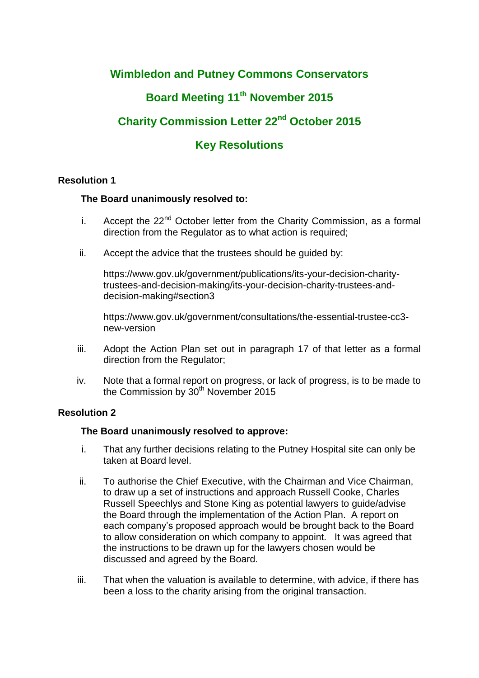# **Wimbledon and Putney Commons Conservators**

# **Board Meeting 11th November 2015**

# **Charity Commission Letter 22nd October 2015**

# **Key Resolutions**

# **Resolution 1**

# **The Board unanimously resolved to:**

- i. Accept the  $22<sup>nd</sup>$  October letter from the Charity Commission, as a formal direction from the Regulator as to what action is required;
- ii. Accept the advice that the trustees should be guided by:

https://www.gov.uk/government/publications/its-your-decision-charitytrustees-and-decision-making/its-your-decision-charity-trustees-anddecision-making#section3

https://www.gov.uk/government/consultations/the-essential-trustee-cc3 new-version

- iii. Adopt the Action Plan set out in paragraph 17 of that letter as a formal direction from the Regulator;
- iv. Note that a formal report on progress, or lack of progress, is to be made to the Commission by  $30<sup>th</sup>$  November 2015

# **Resolution 2**

# **The Board unanimously resolved to approve:**

- i. That any further decisions relating to the Putney Hospital site can only be taken at Board level.
- ii. To authorise the Chief Executive, with the Chairman and Vice Chairman, to draw up a set of instructions and approach Russell Cooke, Charles Russell Speechlys and Stone King as potential lawyers to guide/advise the Board through the implementation of the Action Plan. A report on each company's proposed approach would be brought back to the Board to allow consideration on which company to appoint. It was agreed that the instructions to be drawn up for the lawyers chosen would be discussed and agreed by the Board.
- iii. That when the valuation is available to determine, with advice, if there has been a loss to the charity arising from the original transaction.